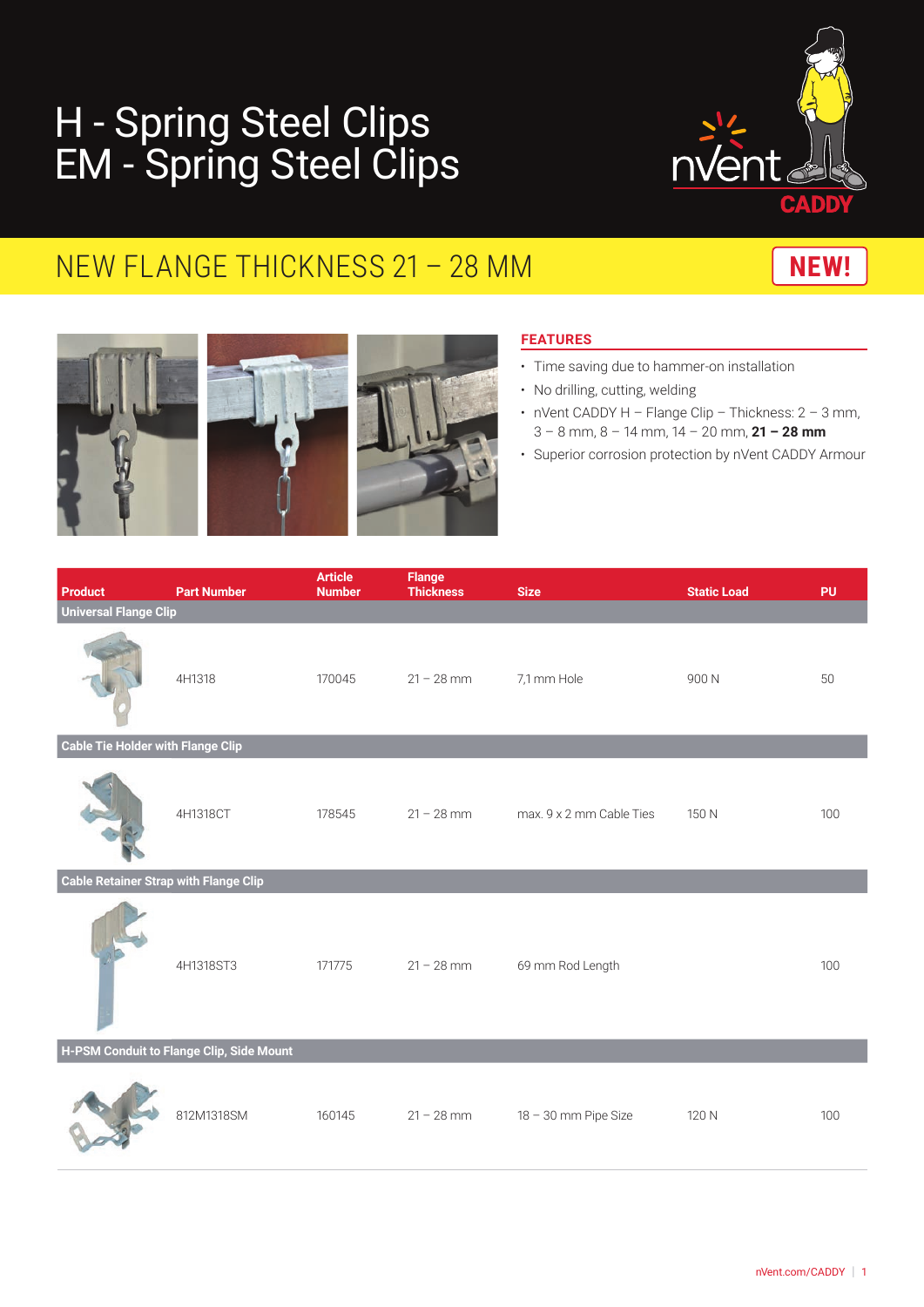# H - Spring Steel Clips EM - Spring Steel Clips



## NEW FLANGE THICKNESS 21 - 28 MM





### **FEATURES**

- Time saving due to hammer-on installation
- No drilling, cutting, welding
- nVent CADDY H Flange Clip Thickness: 2 3 mm, 3 – 8 mm, 8 – 14 mm, 14 – 20 mm, **21 – 28 mm**
- Superior corrosion protection by nVent CADDY Armour

| <b>Product</b>                               | <b>Part Number</b> | <b>Article</b><br><b>Number</b> | <b>Flange</b><br><b>Thickness</b> | <b>Size</b>              | <b>Static Load</b> | <b>PU</b> |  |  |  |  |
|----------------------------------------------|--------------------|---------------------------------|-----------------------------------|--------------------------|--------------------|-----------|--|--|--|--|
| <b>Universal Flange Clip</b>                 |                    |                                 |                                   |                          |                    |           |  |  |  |  |
|                                              | 4H1318             | 170045                          | $21 - 28$ mm                      | 7,1 mm Hole              | 900N               | 50        |  |  |  |  |
| <b>Cable Tie Holder with Flange Clip</b>     |                    |                                 |                                   |                          |                    |           |  |  |  |  |
|                                              | 4H1318CT           | 178545                          | $21 - 28$ mm                      | max, 9 x 2 mm Cable Ties | 150 N              | 100       |  |  |  |  |
| <b>Cable Retainer Strap with Flange Clip</b> |                    |                                 |                                   |                          |                    |           |  |  |  |  |
|                                              | 4H1318ST3          | 171775                          | $21 - 28$ mm                      | 69 mm Rod Length         |                    | 100       |  |  |  |  |
| H-PSM Conduit to Flange Clip, Side Mount     |                    |                                 |                                   |                          |                    |           |  |  |  |  |
|                                              | 812M1318SM         | 160145                          | $21 - 28$ mm                      | 18 - 30 mm Pipe Size     | 120 N              | 100       |  |  |  |  |